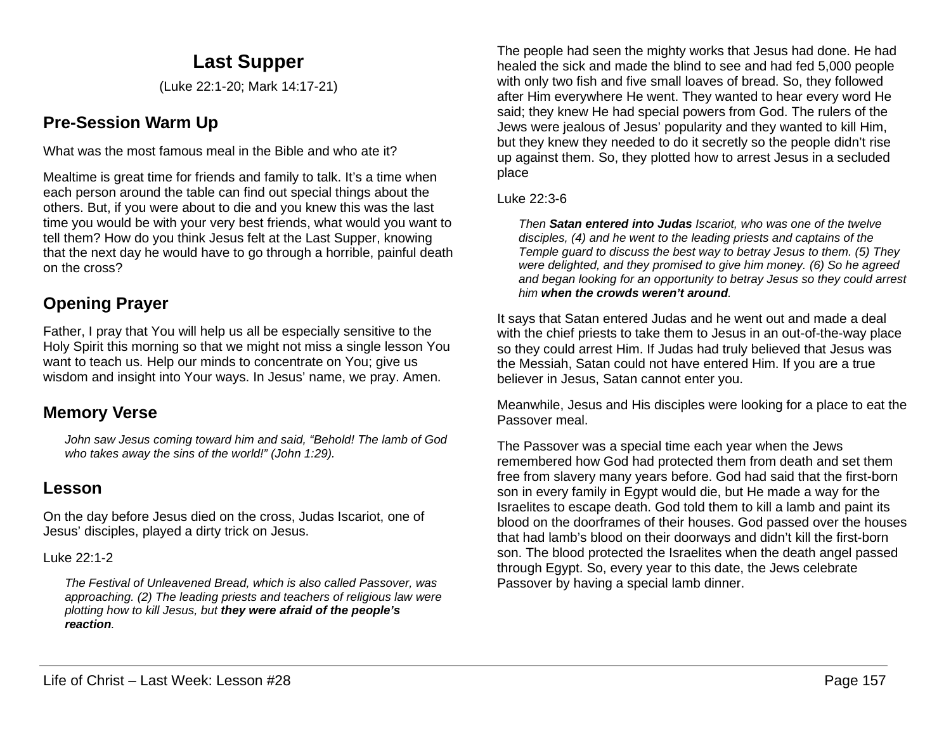# **Last Supper**

(Luke 22:1-20; Mark 14:17-21)

## **Pre-Session Warm Up**

What was the most famous meal in the Bible and who ate it?

Mealtime is great time for friends and family to talk. It's a time when each person around the table can find out special things about the others. But, if you were about to die and you knew this was the last time you would be with your very best friends, what would you want to tell them? How do you think Jesus felt at the Last Supper, knowing that the next day he would have to go through a horrible, painful death on the cross?

## **Opening Prayer**

Father, I pray that You will help us all be especially sensitive to the Holy Spirit this morning so that we might not miss a single lesson You want to teach us. Help our minds to concentrate on You; give us wisdom and insight into Your ways. In Jesus' name, we pray. Amen.

### **Memory Verse**

*John saw Jesus coming toward him and said, "Behold! The lamb of God who takes away the sins of the world!" (John 1:29).*

### **Lesson**

On the day before Jesus died on the cross, Judas Iscariot, one of Jesus' disciples, played a dirty trick on Jesus.

Luke 22:1-2

*The Festival of Unleavened Bread, which is also called Passover, was approaching. (2) The leading priests and teachers of religious law were plotting how to kill Jesus, but they were afraid of the people's reaction.*

The people had seen the mighty works that Jesus had done. He had healed the sick and made the blind to see and had fed 5,000 people with only two fish and five small loaves of bread. So, they followed after Him everywhere He went. They wanted to hear every word He said; they knew He had special powers from God. The rulers of the Jews were jealous of Jesus' popularity and they wanted to kill Him, but they knew they needed to do it secretly so the people didn't rise up against them. So, they plotted how to arrest Jesus in a secluded place

#### Luke 22:3-6

*Then Satan entered into Judas Iscariot, who was one of the twelve disciples, (4) and he went to the leading priests and captains of the Temple guard to discuss the best way to betray Jesus to them. (5) They were delighted, and they promised to give him money. (6) So he agreed and began looking for an opportunity to betray Jesus so they could arrest him when the crowds weren't around.*

It says that Satan entered Judas and he went out and made a deal with the chief priests to take them to Jesus in an out-of-the-way place so they could arrest Him. If Judas had truly believed that Jesus was the Messiah, Satan could not have entered Him. If you are a true believer in Jesus, Satan cannot enter you.

Meanwhile, Jesus and His disciples were looking for a place to eat the Passover meal.

The Passover was a special time each year when the Jews remembered how God had protected them from death and set them free from slavery many years before. God had said that the first-born son in every family in Egypt would die, but He made a way for the Israelites to escape death. God told them to kill a lamb and paint its blood on the doorframes of their houses. God passed over the houses that had lamb's blood on their doorways and didn't kill the first-born son. The blood protected the Israelites when the death angel passed through Egypt. So, every year to this date, the Jews celebrate Passover by having a special lamb dinner.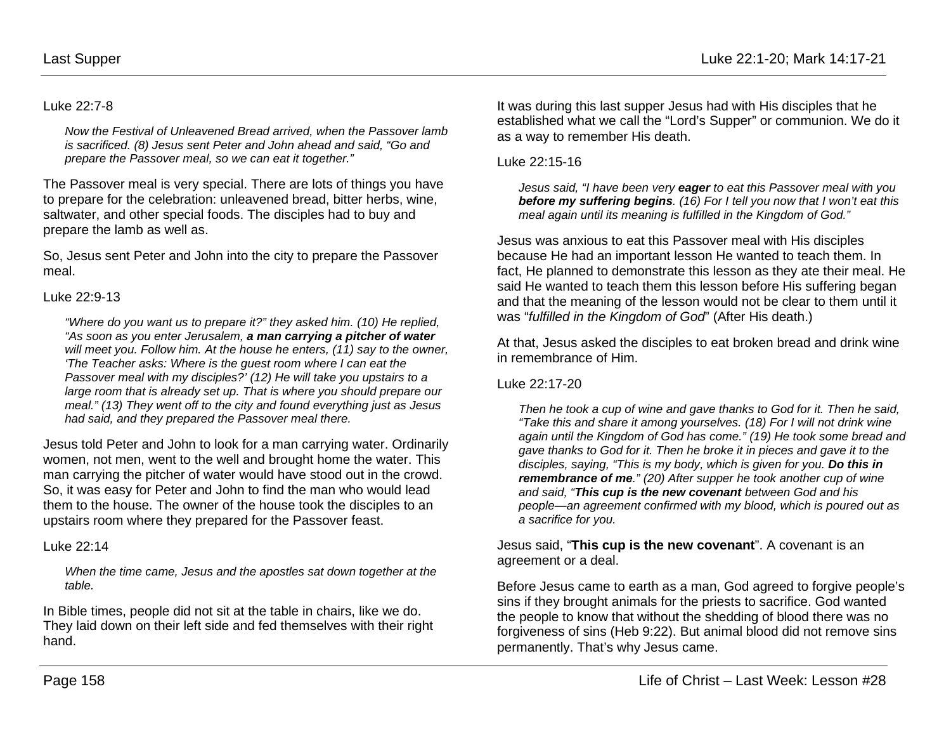#### Luke 22:7-8

*Now the Festival of Unleavened Bread arrived, when the Passover lamb is sacrificed. (8) Jesus sent Peter and John ahead and said, "Go and prepare the Passover meal, so we can eat it together."*

The Passover meal is very special. There are lots of things you have to prepare for the celebration: unleavened bread, bitter herbs, wine, saltwater, and other special foods. The disciples had to buy and prepare the lamb as well as.

So, Jesus sent Peter and John into the city to prepare the Passover meal.

#### Luke 22:9-13

*"Where do you want us to prepare it?" they asked him. (10) He replied, "As soon as you enter Jerusalem, a man carrying a pitcher of water will meet you. Follow him. At the house he enters, (11) say to the owner, 'The Teacher asks: Where is the guest room where I can eat the Passover meal with my disciples?' (12) He will take you upstairs to a large room that is already set up. That is where you should prepare our meal." (13) They went off to the city and found everything just as Jesus had said, and they prepared the Passover meal there.*

Jesus told Peter and John to look for a man carrying water. Ordinarily women, not men, went to the well and brought home the water. This man carrying the pitcher of water would have stood out in the crowd. So, it was easy for Peter and John to find the man who would lead them to the house. The owner of the house took the disciples to an upstairs room where they prepared for the Passover feast.

Luke 22:14

*When the time came, Jesus and the apostles sat down together at the table.* 

In Bible times, people did not sit at the table in chairs, like we do. They laid down on their left side and fed themselves with their right hand.

It was during this last supper Jesus had with His disciples that he established what we call the "Lord's Supper" or communion. We do it as a way to remember His death.

Luke 22:15-16

*Jesus said, "I have been very eager to eat this Passover meal with you before my suffering begins. (16) For I tell you now that I won't eat this meal again until its meaning is fulfilled in the Kingdom of God."*

Jesus was anxious to eat this Passover meal with His disciples because He had an important lesson He wanted to teach them. In fact, He planned to demonstrate this lesson as they ate their meal. He said He wanted to teach them this lesson before His suffering began and that the meaning of the lesson would not be clear to them until it was "*fulfilled in the Kingdom of God*" (After His death.)

At that, Jesus asked the disciples to eat broken bread and drink wine in remembrance of Him.

Luke 22:17-20

*Then he took a cup of wine and gave thanks to God for it. Then he said, "Take this and share it among yourselves. (18) For I will not drink wine again until the Kingdom of God has come." (19) He took some bread and gave thanks to God for it. Then he broke it in pieces and gave it to the disciples, saying, "This is my body, which is given for you. Do this in remembrance of me." (20) After supper he took another cup of wine and said, "This cup is the new covenant between God and his people—an agreement confirmed with my blood, which is poured out as a sacrifice for you.*

Jesus said, "**This cup is the new covenant**". A covenant is an agreement or a deal.

Before Jesus came to earth as a man, God agreed to forgive people's sins if they brought animals for the priests to sacrifice. God wanted the people to know that without the shedding of blood there was no forgiveness of sins (Heb 9:22). But animal blood did not remove sins permanently. That's why Jesus came.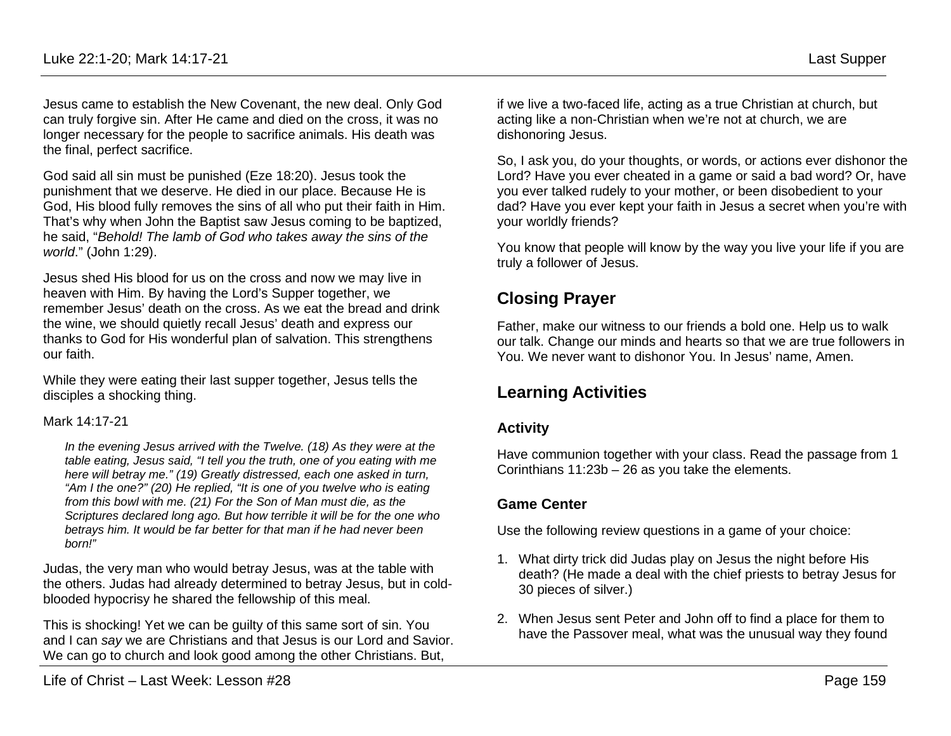Jesus came to establish the New Covenant, the new deal. Only God can truly forgive sin. After He came and died on the cross, it was no longer necessary for the people to sacrifice animals. His death was the final, perfect sacrifice.

God said all sin must be punished (Eze 18:20). Jesus took the punishment that we deserve. He died in our place. Because He is God, His blood fully removes the sins of all who put their faith in Him. That's why when John the Baptist saw Jesus coming to be baptized, he said, "*Behold! The lamb of God who takes away the sins of the world*." (John 1:29).

Jesus shed His blood for us on the cross and now we may live in heaven with Him. By having the Lord's Supper together, we remember Jesus' death on the cross. As we eat the bread and drink the wine, we should quietly recall Jesus' death and express our thanks to God for His wonderful plan of salvation. This strengthens our faith.

While they were eating their last supper together, Jesus tells the disciples a shocking thing.

#### Mark 14:17-21

*In the evening Jesus arrived with the Twelve. (18) As they were at the table eating, Jesus said, "I tell you the truth, one of you eating with me here will betray me." (19) Greatly distressed, each one asked in turn, "Am I the one?" (20) He replied, "It is one of you twelve who is eating from this bowl with me. (21) For the Son of Man must die, as the Scriptures declared long ago. But how terrible it will be for the one who betrays him. It would be far better for that man if he had never been born!"*

Judas, the very man who would betray Jesus, was at the table with the others. Judas had already determined to betray Jesus, but in coldblooded hypocrisy he shared the fellowship of this meal.

This is shocking! Yet we can be guilty of this same sort of sin. You and I can *say* we are Christians and that Jesus is our Lord and Savior. We can go to church and look good among the other Christians. But,

if we live a two-faced life, acting as a true Christian at church, but acting like a non-Christian when we're not at church, we are dishonoring Jesus.

So, I ask you, do your thoughts, or words, or actions ever dishonor the Lord? Have you ever cheated in a game or said a bad word? Or, have you ever talked rudely to your mother, or been disobedient to your dad? Have you ever kept your faith in Jesus a secret when you're with your worldly friends?

You know that people will know by the way you live your life if you are truly a follower of Jesus.

### **Closing Prayer**

Father, make our witness to our friends a bold one. Help us to walk our talk. Change our minds and hearts so that we are true followers in You. We never want to dishonor You. In Jesus' name, Amen.

### **Learning Activities**

### **Activity**

Have communion together with your class. Read the passage from 1 Corinthians 11:23b – 26 as you take the elements.

### **Game Center**

Use the following review questions in a game of your choice:

- 1. What dirty trick did Judas play on Jesus the night before His death? (He made a deal with the chief priests to betray Jesus for 30 pieces of silver.)
- 2. When Jesus sent Peter and John off to find a place for them to have the Passover meal, what was the unusual way they found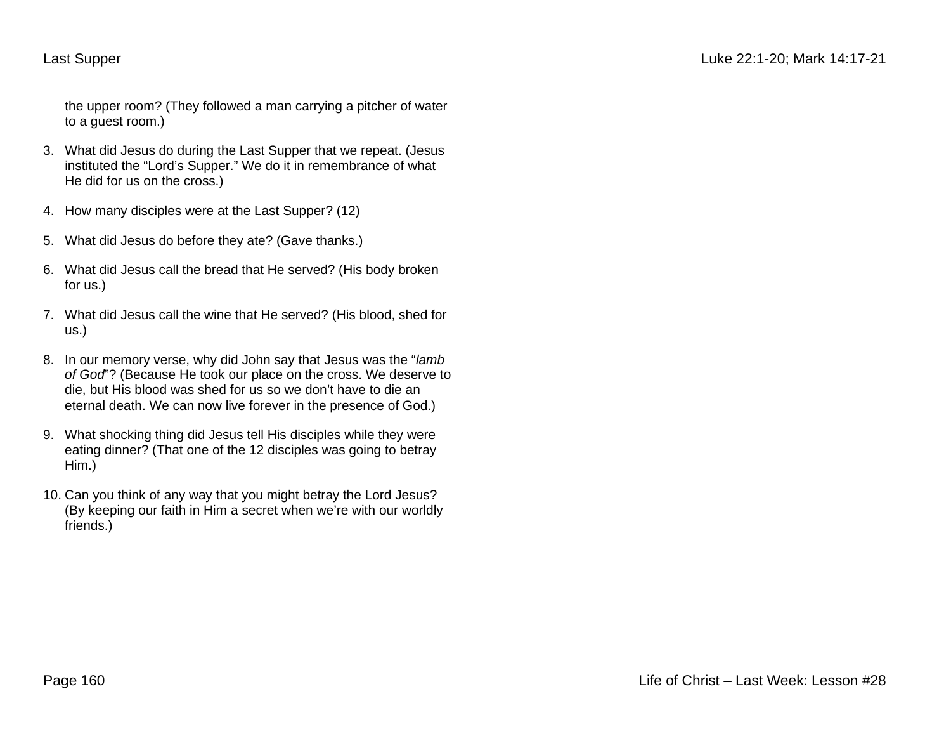the upper room? (They followed a man carrying a pitcher of water to a guest room.)

- 3. What did Jesus do during the Last Supper that we repeat. (Jesus instituted the "Lord's Supper." We do it in remembrance of what He did for us on the cross.)
- 4. How many disciples were at the Last Supper? (12)
- 5. What did Jesus do before they ate? (Gave thanks.)
- 6. What did Jesus call the bread that He served? (His body broken for us.)
- 7. What did Jesus call the wine that He served? (His blood, shed for us.)
- 8. In our memory verse, why did John say that Jesus was the "*lamb of God*"? (Because He took our place on the cross. We deserve to die, but His blood was shed for us so we don't have to die an eternal death. We can now live forever in the presence of God.)
- 9. What shocking thing did Jesus tell His disciples while they were eating dinner? (That one of the 12 disciples was going to betray Him.)
- 10. Can you think of any way that you might betray the Lord Jesus? (By keeping our faith in Him a secret when we're with our worldly friends.)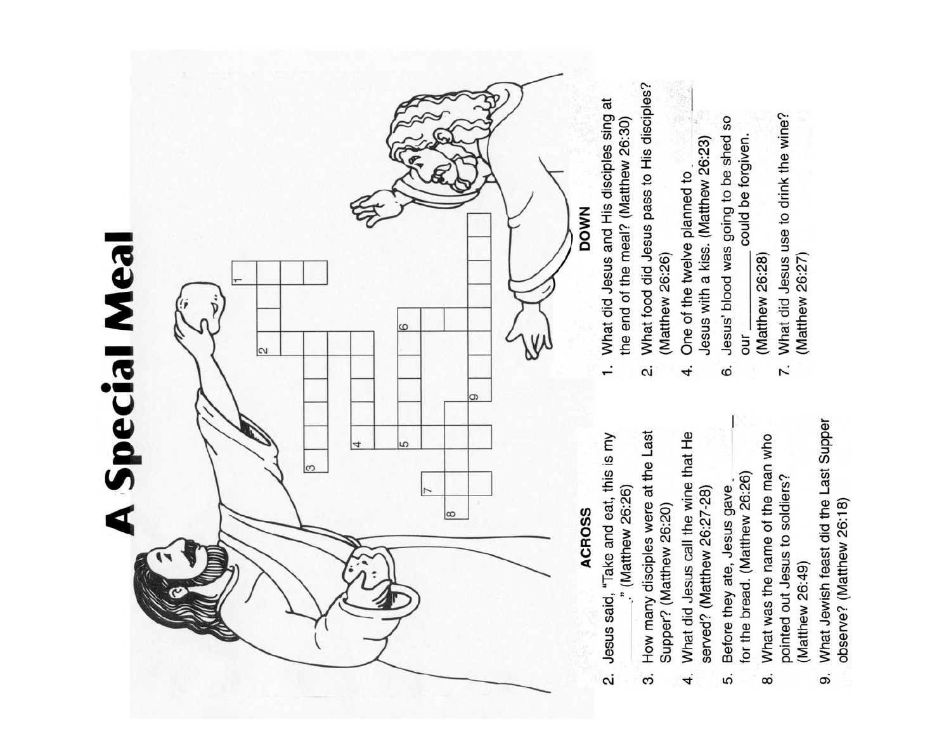

What Jewish feast did the Last Supper observe? (Matthew 26:18) တဲ